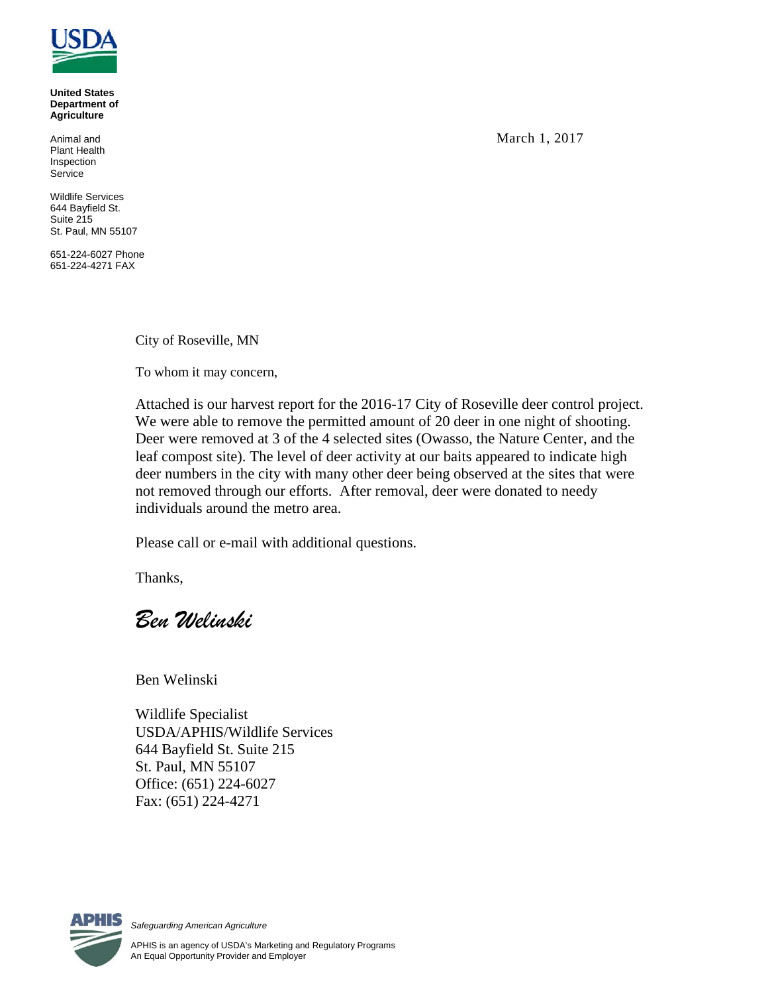

**United States Department of Agriculture**

Animal and Plant Health Inspection **Service** 

Wildlife Services 644 Bayfield St. Suite 215 St. Paul, MN 55107

651-224-6027 Phone 651-224-4271 FAX

City of Roseville, MN

To whom it may concern,

Attached is our harvest report for the 2016-17 City of Roseville deer control project. We were able to remove the permitted amount of 20 deer in one night of shooting. Deer were removed at 3 of the 4 selected sites (Owasso, the Nature Center, and the leaf compost site). The level of deer activity at our baits appeared to indicate high deer numbers in the city with many other deer being observed at the sites that were not removed through our efforts. After removal, deer were donated to needy individuals around the metro area.

Please call or e-mail with additional questions.

Thanks,

*Ben Welinski*

Ben Welinski

Wildlife Specialist USDA/APHIS/Wildlife Services 644 Bayfield St. Suite 215 St. Paul, MN 55107 Office: (651) 224-6027 Fax: (651) 224-4271



*Safeguarding American Agriculture*

March 1, 2017